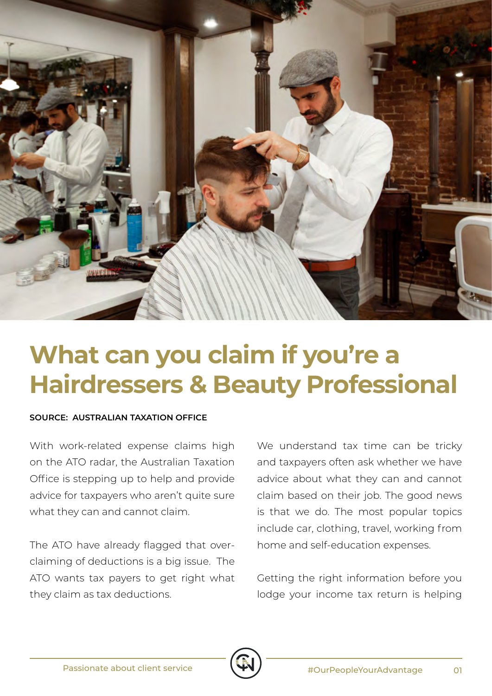

## **What can you claim if you're a Hairdressers & Beauty Professional**

## **SOURCE: AUSTRALIAN TAXATION OFFICE**

With work-related expense claims high on the ATO radar, the Australian Taxation Office is stepping up to help and provide advice for taxpayers who aren't quite sure what they can and cannot claim.

The ATO have already flagged that overclaiming of deductions is a big issue. The ATO wants tax payers to get right what they claim as tax deductions.

We understand tax time can be tricky and taxpayers often ask whether we have advice about what they can and cannot claim based on their job. The good news is that we do. The most popular topics include car, clothing, travel, working from home and self-education expenses.

Getting the right information before you lodge your income tax return is helping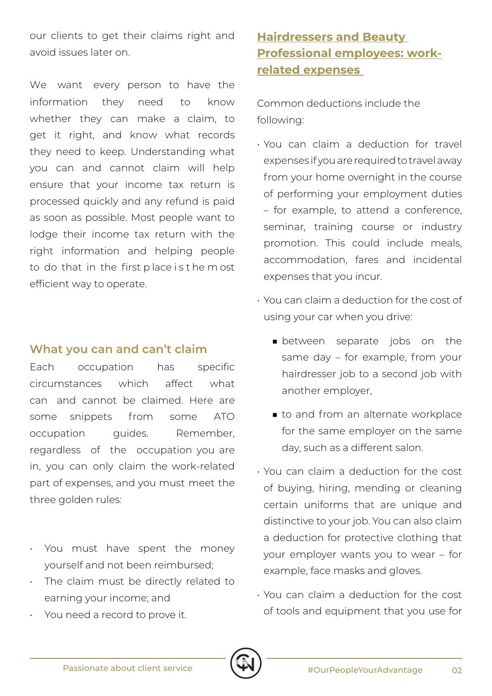our clients to get their claims right and avoid issues later on.

We want every person to have the information they need to know whether they can make a claim, to get it right, and know what records they need to keep. Understanding what you can and cannot claim will help ensure that your income tax return is processed quickly and any refund is paid as soon as possible. Most people want to lodge their income tax return with the right information and helping people to do that in the first p lace i s t he m ost efficient way to operate.

## **What you can and can't claim**

Each occupation has specific circumstances which affect what can and cannot be claimed. Here are some snippets from some ATO occupation quides. Remember, regardless of the occupation you are in, you can only claim the work-related part of expenses, and you must meet the three golden rules:

- You must have spent the money yourself and not been reimbursed;
- The claim must be directly related to earning your income; and
- You need a record to prove it.

## **Hairdressers and Beauty Professional employees: workrelated expenses**

Common deductions include the following:

- You can claim a deduction for travel expenses if you are required to travel away from your home overnight in the course of performing your employment duties – for example, to attend a conference, seminar, training course or industry promotion. This could include meals, accommodation, fares and incidental expenses that you incur.
- You can claim a deduction for the cost of using your car when you drive:
	- between separate jobs on the same day – for example, from your hairdresser job to a second job with another employer,
	- to and from an alternate workplace for the same employer on the same day, such as a different salon.
- You can claim a deduction for the cost of buying, hiring, mending or cleaning certain uniforms that are unique and distinctive to your job. You can also claim a deduction for protective clothing that your employer wants you to wear – for example, face masks and gloves.
- You can claim a deduction for the cost of tools and equipment that you use for